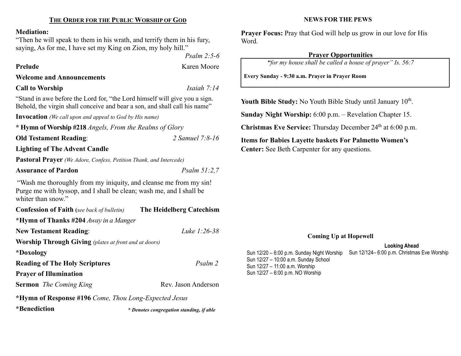## THE ORDER FOR THE PUBLIC WORSHIP OF GOD

#### Mediation:

"Then he will speak to them in his wrath, and terrify them in his fury, saying, As for me, I have set my King on Zion, my holy hill."

Prelude Karen Moore

Psalm 2:5-6

Welcome and Announcements

Call to Worship Isaiah 7:14

"Stand in awe before the Lord for, "the Lord himself will give you a sign. Behold, the virgin shall conceive and bear a son, and shall call his name"

Invocation (We call upon and appeal to God by His name)

| * Hymn of Worship #218 <i>Angels, From the Realms of Glory</i> |                 |
|----------------------------------------------------------------|-----------------|
| <b>Old Testament Reading:</b>                                  | 2 Samuel 7:8-16 |

Lighting of The Advent Candle

Pastoral Prayer (We Adore, Confess, Petition Thank, and Intercede)

### Assurance of Pardon Psalm 51:2,7

"Wash me thoroughly from my iniquity, and cleanse me from my sin! Purge me with hyssop, and I shall be clean; wash me, and I shall be whiter than snow."

| <b>Confession of Faith</b> (see back of bulletin)            | The Heidelberg Catechism |  |
|--------------------------------------------------------------|--------------------------|--|
| *Hymn of Thanks #204 Away in a Manger                        |                          |  |
| <b>New Testament Reading:</b>                                | Luke 1:26-38             |  |
| <b>Worship Through Giving</b> (plates at front and at doors) |                          |  |
| *Doxology                                                    |                          |  |
| <b>Reading of The Holy Scriptures</b>                        | Psalm 2                  |  |
| <b>Prayer of Illumination</b>                                |                          |  |
| <b>Sermon</b> The Coming King                                | Rev. Jason Anderson      |  |

\*Hymn of Response #196 Come, Thou Long-Expected Jesus

\*Benediction \* Denotes congregation standing, if able

#### NEWS FOR THE PEWS

Prayer Focus: Pray that God will help us grow in our love for His Word.

#### Prayer Opportunities

"for my house shall be called a house of prayer" Is. 56:7

Every Sunday - 9:30 a.m. Prayer in Prayer Room

Youth Bible Study: No Youth Bible Study until January  $10<sup>th</sup>$ .

Sunday Night Worship: 6:00 p.m. – Revelation Chapter 15.

Christmas Eve Service: Thursday December 24<sup>th</sup> at 6:00 p.m.

Items for Babies Layette baskets For Palmetto Women's Center: See Beth Carpenter for any questions.

#### Coming Up at Hopewell

#### Looking Ahead

Sun 12/124– 6:00 p.m. Christmas Eve Worship Sun 12/20 – 6:00 p.m. Sunday Night Worship Sun 12/27 – 10:00 a.m. Sunday School Sun 12/27 – 11:00 a.m. Worship Sun 12/27 – 6:00 p.m. NO Worship